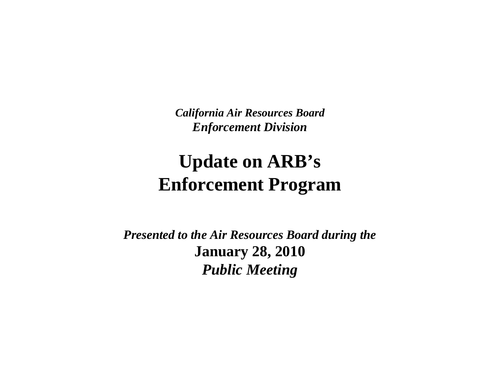*California Air Resources BoardEnforcement Division*

#### **Update on ARB'sEnforcement Program**

*Presented to the Air Resources Board during the***January 28, 2010** *Public Meeting*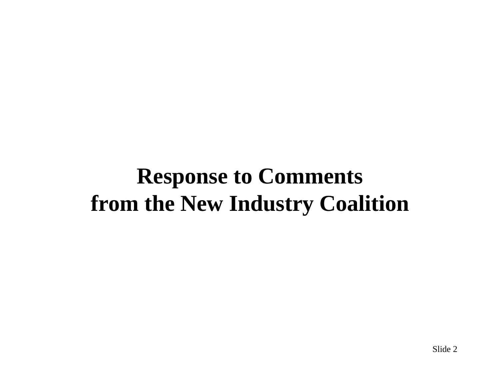#### **Response to Comments from the New Industry Coalition**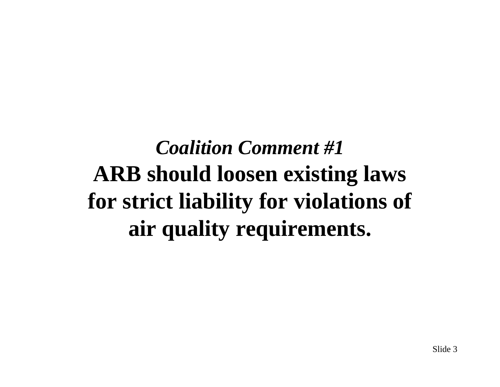# *Coalition Comment #1* **ARB should loosen existing laws for strict liability for violations of air quality requirements.**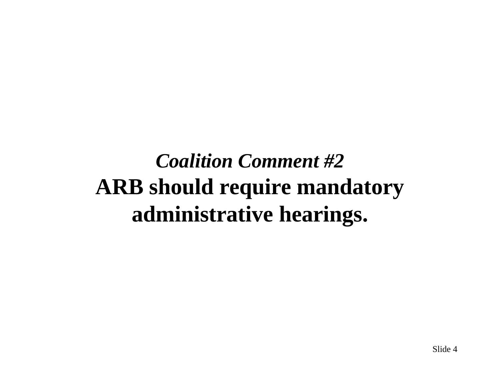## *Coalition Comment #2* **ARB should require mandatory administrative hearings.**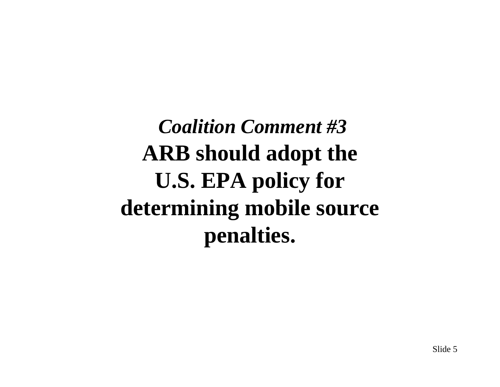*Coalition Comment #3***ARB should adopt the U.S. EPA policy for determining mobile source penalties.**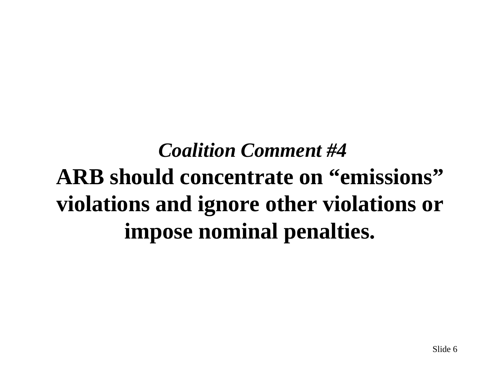# *Coalition Comment #4***ARB should concentrate on "emissions" violations and ignore other violations or impose nominal penalties.**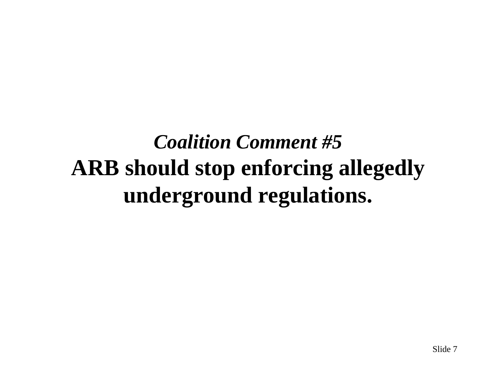## *Coalition Comment #5* **ARB should stop enforcing allegedly underground regulations.**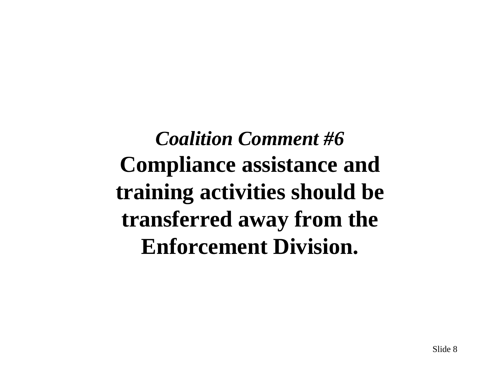*Coalition Comment #6* **Compliance assistance and training activities should be transferred away from the Enforcement Division.**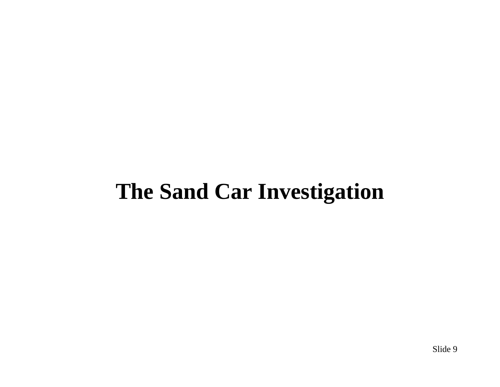#### **The Sand Car Investigation**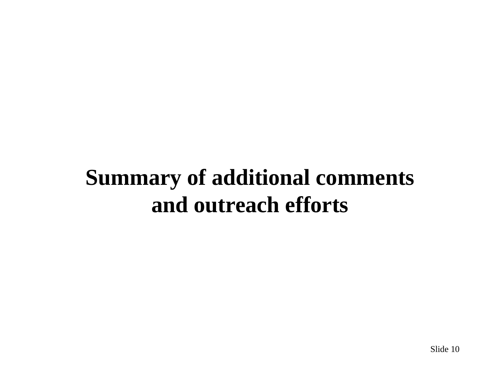## **Summary of additional comments and outreach efforts**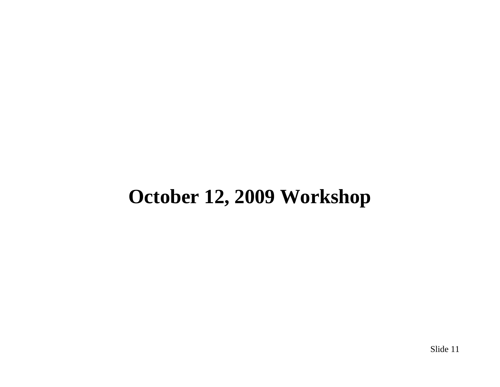#### **October 12, 2009 Workshop**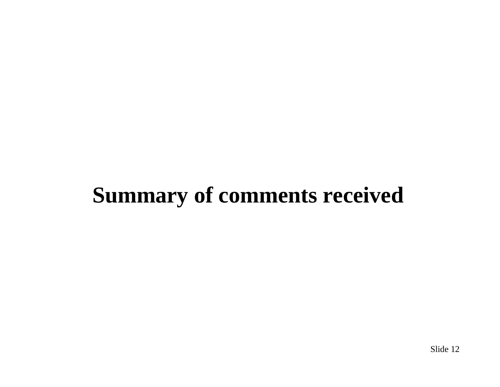## **Summary of comments received**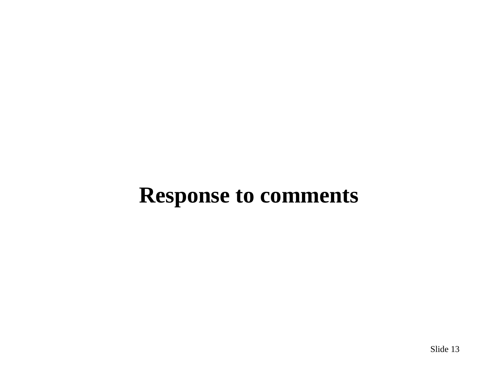### **Response to comments**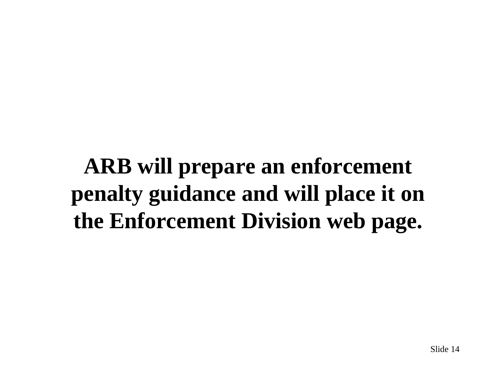**ARB will prepare an enforcement penalty guidance and will place it on the Enforcement Division web page.**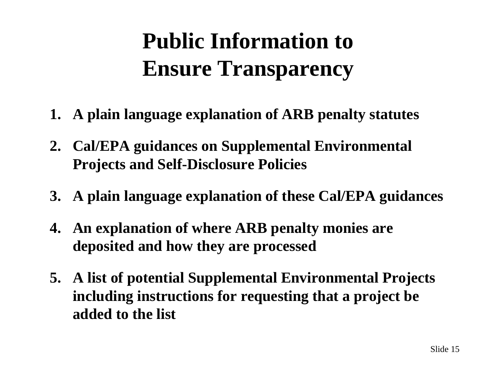# **Public Information to Ensure Transparency**

- **1. A plain language explanation of ARB penalty statutes**
- **2. Cal/EPA guidances on Supplemental Environmental Projects and Self-Disclosure Policies**
- **3. A plain language explanation of these Cal/EPA guidances**
- **4. An explanation of where ARB penalty monies are deposited and how they are processed**
- **5. A list of potential Supplemental Environmental Projects including instructions for requesting that a project be added to the list**